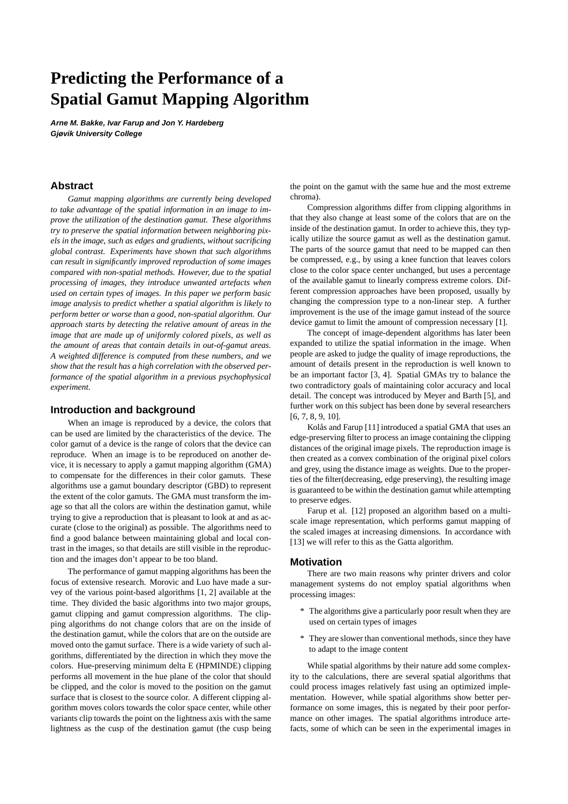# **Predicting the Performance of a Spatial Gamut Mapping Algorithm**

**Arne M. Bakke, Ivar Farup and Jon Y. Hardeberg Gjøvik University College**

# **Abstract**

*Gamut mapping algorithms are currently being developed to take advantage of the spatial information in an image to improve the utilization of the destination gamut. These algorithms try to preserve the spatial information between neighboring pixels in the image, such as edges and gradients, without sacrificing global contrast. Experiments have shown that such algorithms can result in significantly improved reproduction of some images compared with non-spatial methods. However, due to the spatial processing of images, they introduce unwanted artefacts when used on certain types of images. In this paper we perform basic image analysis to predict whether a spatial algorithm is likely to perform better or worse than a good, non-spatial algorithm. Our approach starts by detecting the relative amount of areas in the image that are made up of uniformly colored pixels, as well as the amount of areas that contain details in out-of-gamut areas. A weighted difference is computed from these numbers, and we show that the result has a high correlation with the observed performance of the spatial algorithm in a previous psychophysical experiment.*

## **Introduction and background**

When an image is reproduced by a device, the colors that can be used are limited by the characteristics of the device. The color gamut of a device is the range of colors that the device can reproduce. When an image is to be reproduced on another device, it is necessary to apply a gamut mapping algorithm (GMA) to compensate for the differences in their color gamuts. These algorithms use a gamut boundary descriptor (GBD) to represent the extent of the color gamuts. The GMA must transform the image so that all the colors are within the destination gamut, while trying to give a reproduction that is pleasant to look at and as accurate (close to the original) as possible. The algorithms need to find a good balance between maintaining global and local contrast in the images, so that details are still visible in the reproduction and the images don't appear to be too bland.

The performance of gamut mapping algorithms has been the focus of extensive research. Morovic and Luo have made a survey of the various point-based algorithms [1, 2] available at the time. They divided the basic algorithms into two major groups, gamut clipping and gamut compression algorithms. The clipping algorithms do not change colors that are on the inside of the destination gamut, while the colors that are on the outside are moved onto the gamut surface. There is a wide variety of such algorithms, differentiated by the direction in which they move the colors. Hue-preserving minimum delta E (HPMINDE) clipping performs all movement in the hue plane of the color that should be clipped, and the color is moved to the position on the gamut surface that is closest to the source color. A different clipping algorithm moves colors towards the color space center, while other variants clip towards the point on the lightness axis with the same lightness as the cusp of the destination gamut (the cusp being the point on the gamut with the same hue and the most extreme chroma).

Compression algorithms differ from clipping algorithms in that they also change at least some of the colors that are on the inside of the destination gamut. In order to achieve this, they typically utilize the source gamut as well as the destination gamut. The parts of the source gamut that need to be mapped can then be compressed, e.g., by using a knee function that leaves colors close to the color space center unchanged, but uses a percentage of the available gamut to linearly compress extreme colors. Different compression approaches have been proposed, usually by changing the compression type to a non-linear step. A further improvement is the use of the image gamut instead of the source device gamut to limit the amount of compression necessary [1].

The concept of image-dependent algorithms has later been expanded to utilize the spatial information in the image. When people are asked to judge the quality of image reproductions, the amount of details present in the reproduction is well known to be an important factor [3, 4]. Spatial GMAs try to balance the two contradictory goals of maintaining color accuracy and local detail. The concept was introduced by Meyer and Barth [5], and further work on this subject has been done by several researchers [6, 7, 8, 9, 10].

Kolås and Farup [11] introduced a spatial GMA that uses an edge-preserving filter to process an image containing the clipping distances of the original image pixels. The reproduction image is then created as a convex combination of the original pixel colors and grey, using the distance image as weights. Due to the properties of the filter(decreasing, edge preserving), the resulting image is guaranteed to be within the destination gamut while attempting to preserve edges.

Farup et al. [12] proposed an algorithm based on a multiscale image representation, which performs gamut mapping of the scaled images at increasing dimensions. In accordance with [13] we will refer to this as the Gatta algorithm.

#### **Motivation**

There are two main reasons why printer drivers and color management systems do not employ spatial algorithms when processing images:

- \* The algorithms give a particularly poor result when they are used on certain types of images
- \* They are slower than conventional methods, since they have to adapt to the image content

While spatial algorithms by their nature add some complexity to the calculations, there are several spatial algorithms that could process images relatively fast using an optimized implementation. However, while spatial algorithms show better performance on some images, this is negated by their poor performance on other images. The spatial algorithms introduce artefacts, some of which can be seen in the experimental images in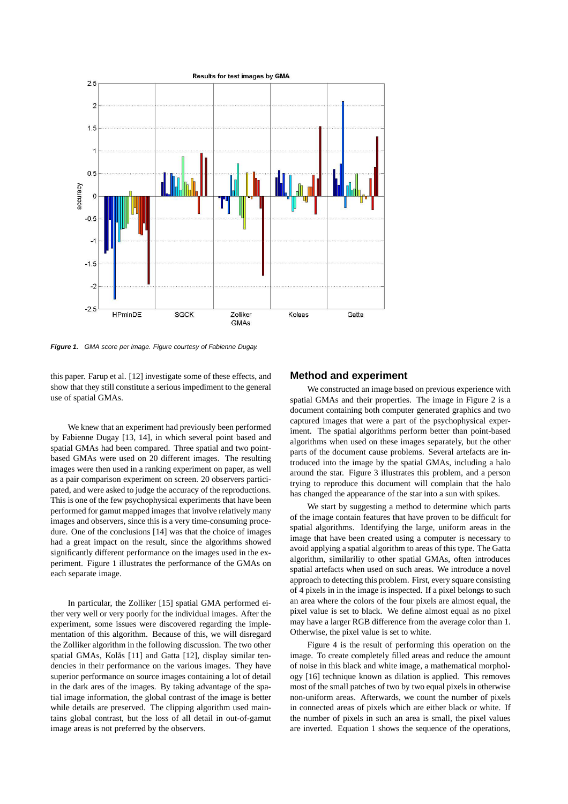

**Figure 1.** GMA score per image. Figure courtesy of Fabienne Dugay.

this paper. Farup et al. [12] investigate some of these effects, and show that they still constitute a serious impediment to the general use of spatial GMAs.

We knew that an experiment had previously been performed by Fabienne Dugay [13, 14], in which several point based and spatial GMAs had been compared. Three spatial and two pointbased GMAs were used on 20 different images. The resulting images were then used in a ranking experiment on paper, as well as a pair comparison experiment on screen. 20 observers participated, and were asked to judge the accuracy of the reproductions. This is one of the few psychophysical experiments that have been performed for gamut mapped images that involve relatively many images and observers, since this is a very time-consuming procedure. One of the conclusions [14] was that the choice of images had a great impact on the result, since the algorithms showed significantly different performance on the images used in the experiment. Figure 1 illustrates the performance of the GMAs on each separate image.

In particular, the Zolliker [15] spatial GMA performed either very well or very poorly for the individual images. After the experiment, some issues were discovered regarding the implementation of this algorithm. Because of this, we will disregard the Zolliker algorithm in the following discussion. The two other spatial GMAs, Kolås [11] and Gatta [12], display similar tendencies in their performance on the various images. They have superior performance on source images containing a lot of detail in the dark ares of the images. By taking advantage of the spatial image information, the global contrast of the image is better while details are preserved. The clipping algorithm used maintains global contrast, but the loss of all detail in out-of-gamut image areas is not preferred by the observers.

# **Method and experiment**

We constructed an image based on previous experience with spatial GMAs and their properties. The image in Figure 2 is a document containing both computer generated graphics and two captured images that were a part of the psychophysical experiment. The spatial algorithms perform better than point-based algorithms when used on these images separately, but the other parts of the document cause problems. Several artefacts are introduced into the image by the spatial GMAs, including a halo around the star. Figure 3 illustrates this problem, and a person trying to reproduce this document will complain that the halo has changed the appearance of the star into a sun with spikes.

We start by suggesting a method to determine which parts of the image contain features that have proven to be difficult for spatial algorithms. Identifying the large, uniform areas in the image that have been created using a computer is necessary to avoid applying a spatial algorithm to areas of this type. The Gatta algorithm, similariliy to other spatial GMAs, often introduces spatial artefacts when used on such areas. We introduce a novel approach to detecting this problem. First, every square consisting of 4 pixels in in the image is inspected. If a pixel belongs to such an area where the colors of the four pixels are almost equal, the pixel value is set to black. We define almost equal as no pixel may have a larger RGB difference from the average color than 1. Otherwise, the pixel value is set to white.

Figure 4 is the result of performing this operation on the image. To create completely filled areas and reduce the amount of noise in this black and white image, a mathematical morphology [16] technique known as dilation is applied. This removes most of the small patches of two by two equal pixels in otherwise non-uniform areas. Afterwards, we count the number of pixels in connected areas of pixels which are either black or white. If the number of pixels in such an area is small, the pixel values are inverted. Equation 1 shows the sequence of the operations,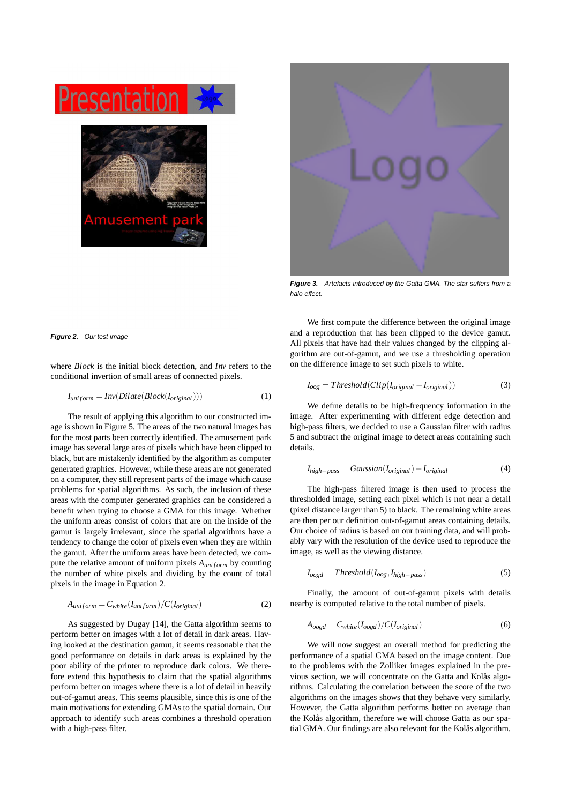



**Figure 3.** Artefacts introduced by the Gatta GMA. The star suffers from a halo effect.

**Figure 2.** Our test image

where *Block* is the initial block detection, and *Inv* refers to the conditional invertion of small areas of connected pixels.

$$
I_{uniform} = Inv(Dilate(Block(I_{original})))
$$
\n(1)

The result of applying this algorithm to our constructed image is shown in Figure 5. The areas of the two natural images has for the most parts been correctly identified. The amusement park image has several large ares of pixels which have been clipped to black, but are mistakenly identified by the algorithm as computer generated graphics. However, while these areas are not generated on a computer, they still represent parts of the image which cause problems for spatial algorithms. As such, the inclusion of these areas with the computer generated graphics can be considered a benefit when trying to choose a GMA for this image. Whether the uniform areas consist of colors that are on the inside of the gamut is largely irrelevant, since the spatial algorithms have a tendency to change the color of pixels even when they are within the gamut. After the uniform areas have been detected, we compute the relative amount of uniform pixels  $A_{uniform}$  by counting the number of white pixels and dividing by the count of total pixels in the image in Equation 2.

$$
A_{uniform} = C_{white}(I_{uniform})/C(I_{original})
$$
\n(2)

As suggested by Dugay [14], the Gatta algorithm seems to perform better on images with a lot of detail in dark areas. Having looked at the destination gamut, it seems reasonable that the good performance on details in dark areas is explained by the poor ability of the printer to reproduce dark colors. We therefore extend this hypothesis to claim that the spatial algorithms perform better on images where there is a lot of detail in heavily out-of-gamut areas. This seems plausible, since this is one of the main motivations for extending GMAs to the spatial domain. Our approach to identify such areas combines a threshold operation with a high-pass filter.

We first compute the difference between the original image and a reproduction that has been clipped to the device gamut. All pixels that have had their values changed by the clipping algorithm are out-of-gamut, and we use a thresholding operation on the difference image to set such pixels to white.

$$
I_{oog} = Threshold(Clip(I_{original} - I_{original}))
$$
\n(3)

We define details to be high-frequency information in the image. After experimenting with different edge detection and high-pass filters, we decided to use a Gaussian filter with radius 5 and subtract the original image to detect areas containing such details.

$$
I_{high-pass} = Gaussian(I_{original}) - I_{original}
$$
\n(4)

The high-pass filtered image is then used to process the thresholded image, setting each pixel which is not near a detail (pixel distance larger than 5) to black. The remaining white areas are then per our definition out-of-gamut areas containing details. Our choice of radius is based on our training data, and will probably vary with the resolution of the device used to reproduce the image, as well as the viewing distance.

$$
I_{oogd} = Threshold(I_{oog}, I_{high-pass})
$$
\n(5)

Finally, the amount of out-of-gamut pixels with details nearby is computed relative to the total number of pixels.

$$
A_{oogd} = C_{white}(I_{oogd})/C(I_{original})
$$
\n(6)

We will now suggest an overall method for predicting the performance of a spatial GMA based on the image content. Due to the problems with the Zolliker images explained in the previous section, we will concentrate on the Gatta and Kolås algorithms. Calculating the correlation between the score of the two algorithms on the images shows that they behave very similarly. However, the Gatta algorithm performs better on average than the Kolås algorithm, therefore we will choose Gatta as our spatial GMA. Our findings are also relevant for the Kolås algorithm.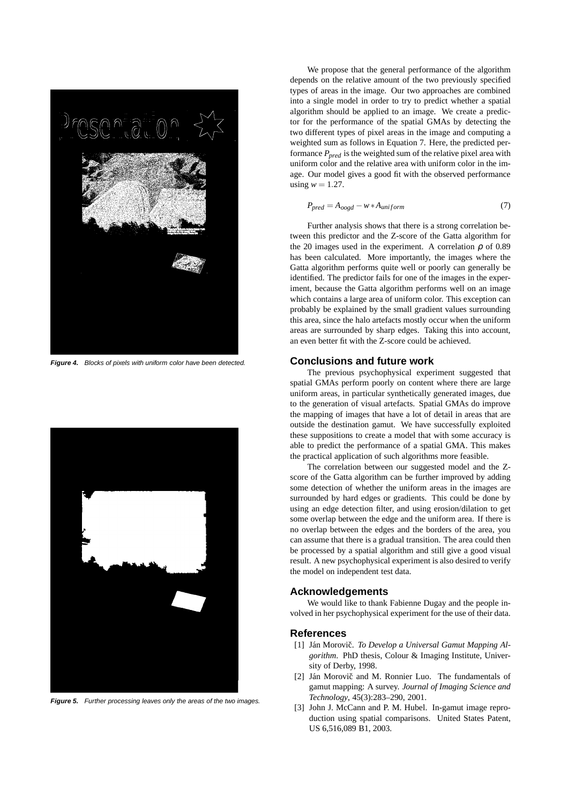

**Figure 4.** Blocks of pixels with uniform color have been detected.



**Figure 5.** Further processing leaves only the areas of the two images.

We propose that the general performance of the algorithm depends on the relative amount of the two previously specified types of areas in the image. Our two approaches are combined into a single model in order to try to predict whether a spatial algorithm should be applied to an image. We create a predictor for the performance of the spatial GMAs by detecting the two different types of pixel areas in the image and computing a weighted sum as follows in Equation 7. Here, the predicted performance *Ppred* is the weighted sum of the relative pixel area with uniform color and the relative area with uniform color in the image. Our model gives a good fit with the observed performance using  $w = 1.27$ .

$$
P_{pred} = A_{oogd} - w * A_{uniform}
$$
 (7)

Further analysis shows that there is a strong correlation between this predictor and the Z-score of the Gatta algorithm for the 20 images used in the experiment. A correlation  $\rho$  of 0.89 has been calculated. More importantly, the images where the Gatta algorithm performs quite well or poorly can generally be identified. The predictor fails for one of the images in the experiment, because the Gatta algorithm performs well on an image which contains a large area of uniform color. This exception can probably be explained by the small gradient values surrounding this area, since the halo artefacts mostly occur when the uniform areas are surrounded by sharp edges. Taking this into account, an even better fit with the Z-score could be achieved.

## **Conclusions and future work**

The previous psychophysical experiment suggested that spatial GMAs perform poorly on content where there are large uniform areas, in particular synthetically generated images, due to the generation of visual artefacts. Spatial GMAs do improve the mapping of images that have a lot of detail in areas that are outside the destination gamut. We have successfully exploited these suppositions to create a model that with some accuracy is able to predict the performance of a spatial GMA. This makes the practical application of such algorithms more feasible.

The correlation between our suggested model and the Zscore of the Gatta algorithm can be further improved by adding some detection of whether the uniform areas in the images are surrounded by hard edges or gradients. This could be done by using an edge detection filter, and using erosion/dilation to get some overlap between the edge and the uniform area. If there is no overlap between the edges and the borders of the area, you can assume that there is a gradual transition. The area could then be processed by a spatial algorithm and still give a good visual result. A new psychophysical experiment is also desired to verify the model on independent test data.

#### **Acknowledgements**

We would like to thank Fabienne Dugay and the people involved in her psychophysical experiment for the use of their data.

#### **References**

- [1] Ján Morovič. *To Develop a Universal Gamut Mapping Algorithm*. PhD thesis, Colour & Imaging Institute, University of Derby, 1998.
- [2] Ján Morovič and M. Ronnier Luo. The fundamentals of gamut mapping: A survey. *Journal of Imaging Science and Technology*, 45(3):283–290, 2001.
- [3] John J. McCann and P. M. Hubel. In-gamut image reproduction using spatial comparisons. United States Patent, US 6,516,089 B1, 2003.